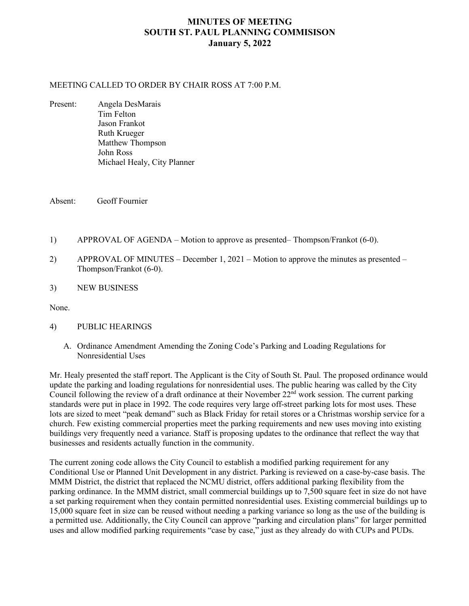## **MINUTES OF MEETING SOUTH ST. PAUL PLANNING COMMISISON January 5, 2022**

#### MEETING CALLED TO ORDER BY CHAIR ROSS AT 7:00 P.M.

Present: Angela DesMarais Tim Felton Jason Frankot Ruth Krueger Matthew Thompson John Ross Michael Healy, City Planner

Absent: Geoff Fournier

- 1) APPROVAL OF AGENDA Motion to approve as presented– Thompson/Frankot (6-0).
- 2) APPROVAL OF MINUTES December 1, 2021 Motion to approve the minutes as presented Thompson/Frankot (6-0).
- 3) NEW BUSINESS

None.

### 4) PUBLIC HEARINGS

A. Ordinance Amendment Amending the Zoning Code's Parking and Loading Regulations for Nonresidential Uses

Mr. Healy presented the staff report. The Applicant is the City of South St. Paul. The proposed ordinance would update the parking and loading regulations for nonresidential uses. The public hearing was called by the City Council following the review of a draft ordinance at their November 22<sup>nd</sup> work session. The current parking standards were put in place in 1992. The code requires very large off-street parking lots for most uses. These lots are sized to meet "peak demand" such as Black Friday for retail stores or a Christmas worship service for a church. Few existing commercial properties meet the parking requirements and new uses moving into existing buildings very frequently need a variance. Staff is proposing updates to the ordinance that reflect the way that businesses and residents actually function in the community.

The current zoning code allows the City Council to establish a modified parking requirement for any Conditional Use or Planned Unit Development in any district. Parking is reviewed on a case-by-case basis. The MMM District, the district that replaced the NCMU district, offers additional parking flexibility from the parking ordinance. In the MMM district, small commercial buildings up to 7,500 square feet in size do not have a set parking requirement when they contain permitted nonresidential uses. Existing commercial buildings up to 15,000 square feet in size can be reused without needing a parking variance so long as the use of the building is a permitted use. Additionally, the City Council can approve "parking and circulation plans" for larger permitted uses and allow modified parking requirements "case by case," just as they already do with CUPs and PUDs.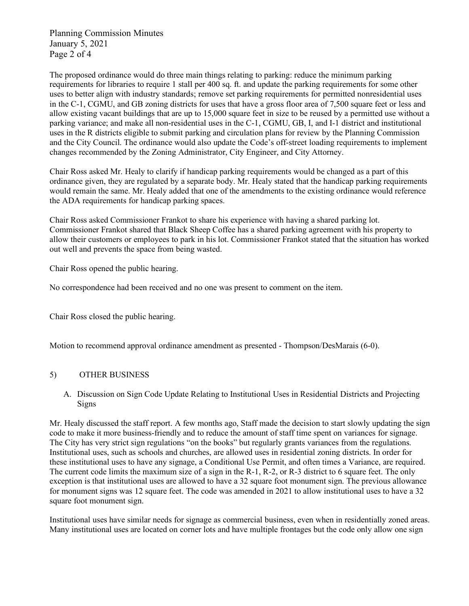Planning Commission Minutes January 5, 2021 Page 2 of 4

The proposed ordinance would do three main things relating to parking: reduce the minimum parking requirements for libraries to require 1 stall per 400 sq. ft. and update the parking requirements for some other uses to better align with industry standards; remove set parking requirements for permitted nonresidential uses in the C-1, CGMU, and GB zoning districts for uses that have a gross floor area of 7,500 square feet or less and allow existing vacant buildings that are up to 15,000 square feet in size to be reused by a permitted use without a parking variance; and make all non-residential uses in the C-1, CGMU, GB, I, and I-1 district and institutional uses in the R districts eligible to submit parking and circulation plans for review by the Planning Commission and the City Council. The ordinance would also update the Code's off-street loading requirements to implement changes recommended by the Zoning Administrator, City Engineer, and City Attorney.

Chair Ross asked Mr. Healy to clarify if handicap parking requirements would be changed as a part of this ordinance given, they are regulated by a separate body. Mr. Healy stated that the handicap parking requirements would remain the same. Mr. Healy added that one of the amendments to the existing ordinance would reference the ADA requirements for handicap parking spaces.

Chair Ross asked Commissioner Frankot to share his experience with having a shared parking lot. Commissioner Frankot shared that Black Sheep Coffee has a shared parking agreement with his property to allow their customers or employees to park in his lot. Commissioner Frankot stated that the situation has worked out well and prevents the space from being wasted.

Chair Ross opened the public hearing.

No correspondence had been received and no one was present to comment on the item.

Chair Ross closed the public hearing.

Motion to recommend approval ordinance amendment as presented - Thompson/DesMarais (6-0).

### 5) OTHER BUSINESS

A. Discussion on Sign Code Update Relating to Institutional Uses in Residential Districts and Projecting Signs

Mr. Healy discussed the staff report. A few months ago, Staff made the decision to start slowly updating the sign code to make it more business-friendly and to reduce the amount of staff time spent on variances for signage. The City has very strict sign regulations "on the books" but regularly grants variances from the regulations. Institutional uses, such as schools and churches, are allowed uses in residential zoning districts. In order for these institutional uses to have any signage, a Conditional Use Permit, and often times a Variance, are required. The current code limits the maximum size of a sign in the R-1, R-2, or R-3 district to 6 square feet. The only exception is that institutional uses are allowed to have a 32 square foot monument sign. The previous allowance for monument signs was 12 square feet. The code was amended in 2021 to allow institutional uses to have a 32 square foot monument sign.

Institutional uses have similar needs for signage as commercial business, even when in residentially zoned areas. Many institutional uses are located on corner lots and have multiple frontages but the code only allow one sign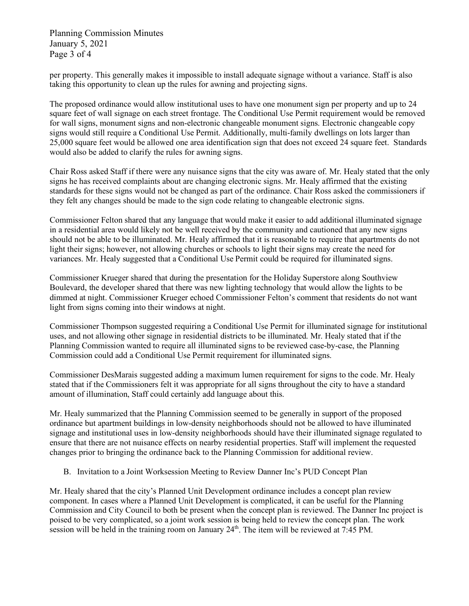Planning Commission Minutes January 5, 2021 Page 3 of 4

per property. This generally makes it impossible to install adequate signage without a variance. Staff is also taking this opportunity to clean up the rules for awning and projecting signs.

The proposed ordinance would allow institutional uses to have one monument sign per property and up to 24 square feet of wall signage on each street frontage. The Conditional Use Permit requirement would be removed for wall signs, monument signs and non-electronic changeable monument signs. Electronic changeable copy signs would still require a Conditional Use Permit. Additionally, multi-family dwellings on lots larger than 25,000 square feet would be allowed one area identification sign that does not exceed 24 square feet. Standards would also be added to clarify the rules for awning signs.

Chair Ross asked Staff if there were any nuisance signs that the city was aware of. Mr. Healy stated that the only signs he has received complaints about are changing electronic signs. Mr. Healy affirmed that the existing standards for these signs would not be changed as part of the ordinance. Chair Ross asked the commissioners if they felt any changes should be made to the sign code relating to changeable electronic signs.

Commissioner Felton shared that any language that would make it easier to add additional illuminated signage in a residential area would likely not be well received by the community and cautioned that any new signs should not be able to be illuminated. Mr. Healy affirmed that it is reasonable to require that apartments do not light their signs; however, not allowing churches or schools to light their signs may create the need for variances. Mr. Healy suggested that a Conditional Use Permit could be required for illuminated signs.

Commissioner Krueger shared that during the presentation for the Holiday Superstore along Southview Boulevard, the developer shared that there was new lighting technology that would allow the lights to be dimmed at night. Commissioner Krueger echoed Commissioner Felton's comment that residents do not want light from signs coming into their windows at night.

Commissioner Thompson suggested requiring a Conditional Use Permit for illuminated signage for institutional uses, and not allowing other signage in residential districts to be illuminated. Mr. Healy stated that if the Planning Commission wanted to require all illuminated signs to be reviewed case-by-case, the Planning Commission could add a Conditional Use Permit requirement for illuminated signs.

Commissioner DesMarais suggested adding a maximum lumen requirement for signs to the code. Mr. Healy stated that if the Commissioners felt it was appropriate for all signs throughout the city to have a standard amount of illumination, Staff could certainly add language about this.

Mr. Healy summarized that the Planning Commission seemed to be generally in support of the proposed ordinance but apartment buildings in low-density neighborhoods should not be allowed to have illuminated signage and institutional uses in low-density neighborhoods should have their illuminated signage regulated to ensure that there are not nuisance effects on nearby residential properties. Staff will implement the requested changes prior to bringing the ordinance back to the Planning Commission for additional review.

B. Invitation to a Joint Worksession Meeting to Review Danner Inc's PUD Concept Plan

Mr. Healy shared that the city's Planned Unit Development ordinance includes a concept plan review component. In cases where a Planned Unit Development is complicated, it can be useful for the Planning Commission and City Council to both be present when the concept plan is reviewed. The Danner Inc project is poised to be very complicated, so a joint work session is being held to review the concept plan. The work session will be held in the training room on January  $24<sup>th</sup>$ . The item will be reviewed at 7:45 PM.